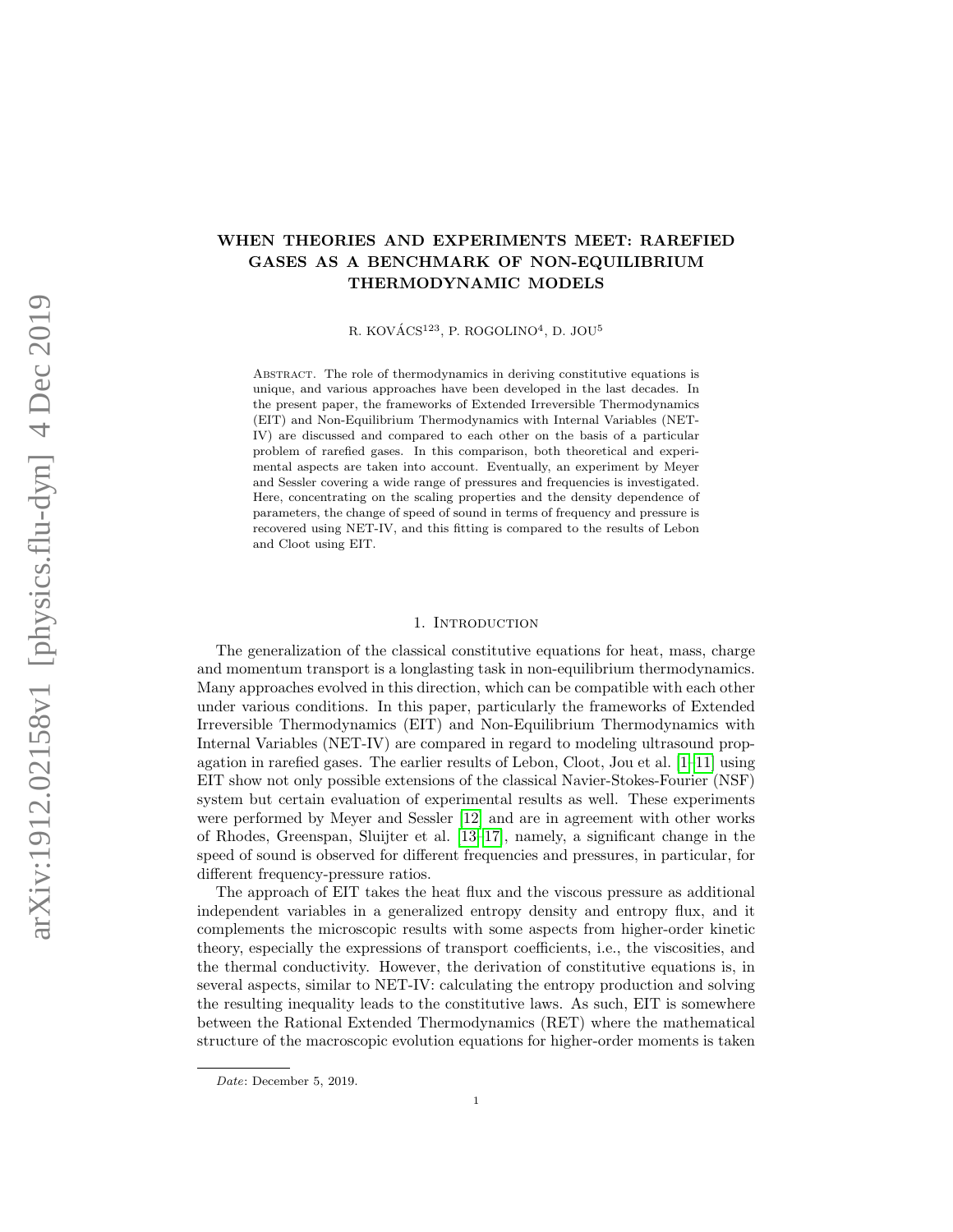# WHEN THEORIES AND EXPERIMENTS MEET: RAREFIED GASES AS A BENCHMARK OF NON-EQUILIBRIUM THERMODYNAMIC MODELS

R. KOVÁCS<sup>123</sup>, P. ROGOLINO<sup>4</sup>, D. JOU<sup>5</sup>

Abstract. The role of thermodynamics in deriving constitutive equations is unique, and various approaches have been developed in the last decades. In the present paper, the frameworks of Extended Irreversible Thermodynamics (EIT) and Non-Equilibrium Thermodynamics with Internal Variables (NET-IV) are discussed and compared to each other on the basis of a particular problem of rarefied gases. In this comparison, both theoretical and experimental aspects are taken into account. Eventually, an experiment by Meyer and Sessler covering a wide range of pressures and frequencies is investigated. Here, concentrating on the scaling properties and the density dependence of parameters, the change of speed of sound in terms of frequency and pressure is recovered using NET-IV, and this fitting is compared to the results of Lebon and Cloot using EIT.

### 1. INTRODUCTION

The generalization of the classical constitutive equations for heat, mass, charge and momentum transport is a longlasting task in non-equilibrium thermodynamics. Many approaches evolved in this direction, which can be compatible with each other under various conditions. In this paper, particularly the frameworks of Extended Irreversible Thermodynamics (EIT) and Non-Equilibrium Thermodynamics with Internal Variables (NET-IV) are compared in regard to modeling ultrasound propagation in rarefied gases. The earlier results of Lebon, Cloot, Jou et al.  $[1-11]$  $[1-11]$  using EIT show not only possible extensions of the classical Navier-Stokes-Fourier (NSF) system but certain evaluation of experimental results as well. These experiments were performed by Meyer and Sessler [\[12\]](#page-9-2) and are in agreement with other works of Rhodes, Greenspan, Sluijter et al. [\[13](#page-9-3)[–17\]](#page-9-4), namely, a significant change in the speed of sound is observed for different frequencies and pressures, in particular, for different frequency-pressure ratios.

The approach of EIT takes the heat flux and the viscous pressure as additional independent variables in a generalized entropy density and entropy flux, and it complements the microscopic results with some aspects from higher-order kinetic theory, especially the expressions of transport coefficients, i.e., the viscosities, and the thermal conductivity. However, the derivation of constitutive equations is, in several aspects, similar to NET-IV: calculating the entropy production and solving the resulting inequality leads to the constitutive laws. As such, EIT is somewhere between the Rational Extended Thermodynamics (RET) where the mathematical structure of the macroscopic evolution equations for higher-order moments is taken

Date: December 5, 2019.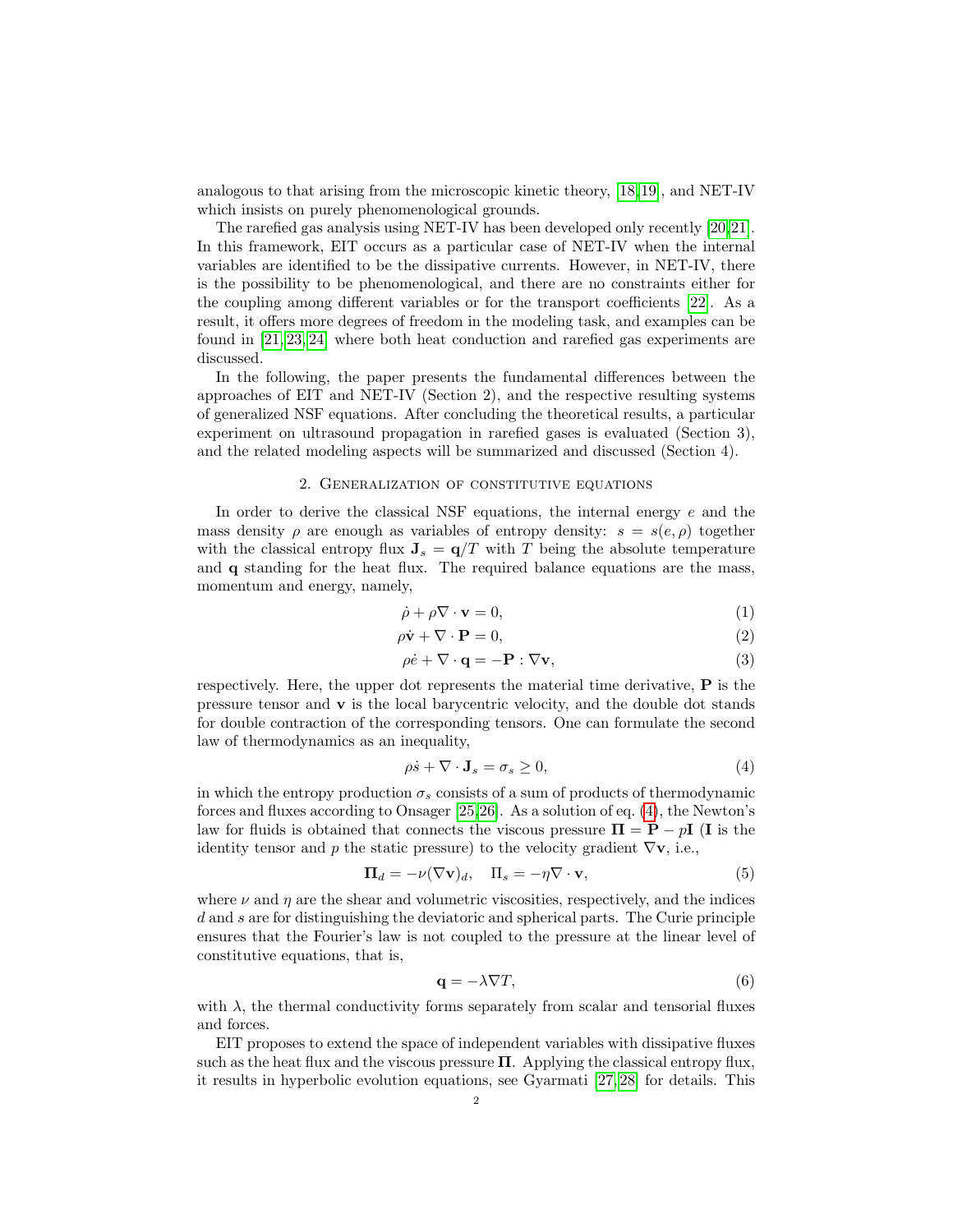analogous to that arising from the microscopic kinetic theory, [\[18,](#page-9-5)[19\]](#page-9-6), and NET-IV which insists on purely phenomenological grounds.

The rarefied gas analysis using NET-IV has been developed only recently [\[20,](#page-9-7)[21\]](#page-9-8). In this framework, EIT occurs as a particular case of NET-IV when the internal variables are identified to be the dissipative currents. However, in NET-IV, there is the possibility to be phenomenological, and there are no constraints either for the coupling among different variables or for the transport coefficients [\[22\]](#page-10-0). As a result, it offers more degrees of freedom in the modeling task, and examples can be found in [\[21,](#page-9-8) [23,](#page-10-1) [24\]](#page-10-2) where both heat conduction and rarefied gas experiments are discussed.

In the following, the paper presents the fundamental differences between the approaches of EIT and NET-IV (Section 2), and the respective resulting systems of generalized NSF equations. After concluding the theoretical results, a particular experiment on ultrasound propagation in rarefied gases is evaluated (Section 3), and the related modeling aspects will be summarized and discussed (Section 4).

#### 2. Generalization of constitutive equations

In order to derive the classical NSF equations, the internal energy  $e$  and the mass density  $\rho$  are enough as variables of entropy density:  $s = s(e, \rho)$  together with the classical entropy flux  $J_s = q/T$  with T being the absolute temperature and q standing for the heat flux. The required balance equations are the mass, momentum and energy, namely,

<span id="page-1-2"></span><span id="page-1-1"></span>
$$
\dot{\rho} + \rho \nabla \cdot \mathbf{v} = 0,\tag{1}
$$

$$
\rho \dot{\mathbf{v}} + \nabla \cdot \mathbf{P} = 0,\tag{2}
$$

$$
\rho \dot{e} + \nabla \cdot \mathbf{q} = -\mathbf{P} : \nabla \mathbf{v},\tag{3}
$$

respectively. Here, the upper dot represents the material time derivative, P is the pressure tensor and  $\bf{v}$  is the local barycentric velocity, and the double dot stands for double contraction of the corresponding tensors. One can formulate the second law of thermodynamics as an inequality,

<span id="page-1-0"></span>
$$
\rho \dot{s} + \nabla \cdot \mathbf{J}_s = \sigma_s \ge 0,\tag{4}
$$

in which the entropy production  $\sigma_s$  consists of a sum of products of thermodynamic forces and fluxes according to Onsager [\[25,](#page-10-3)[26\]](#page-10-4). As a solution of eq. [\(4\)](#page-1-0), the Newton's law for fluids is obtained that connects the viscous pressure  $\Pi = P - pI$  (I is the identity tensor and p the static pressure) to the velocity gradient  $\nabla v$ , i.e.,

$$
\Pi_d = -\nu(\nabla \mathbf{v})_d, \quad \Pi_s = -\eta \nabla \cdot \mathbf{v}, \tag{5}
$$

where  $\nu$  and  $\eta$  are the shear and volumetric viscosities, respectively, and the indices d and s are for distinguishing the deviatoric and spherical parts. The Curie principle ensures that the Fourier's law is not coupled to the pressure at the linear level of constitutive equations, that is,

$$
\mathbf{q} = -\lambda \nabla T,\tag{6}
$$

with  $\lambda$ , the thermal conductivity forms separately from scalar and tensorial fluxes and forces.

EIT proposes to extend the space of independent variables with dissipative fluxes such as the heat flux and the viscous pressure  $\Pi$ . Applying the classical entropy flux, it results in hyperbolic evolution equations, see Gyarmati [\[27,](#page-10-5) [28\]](#page-10-6) for details. This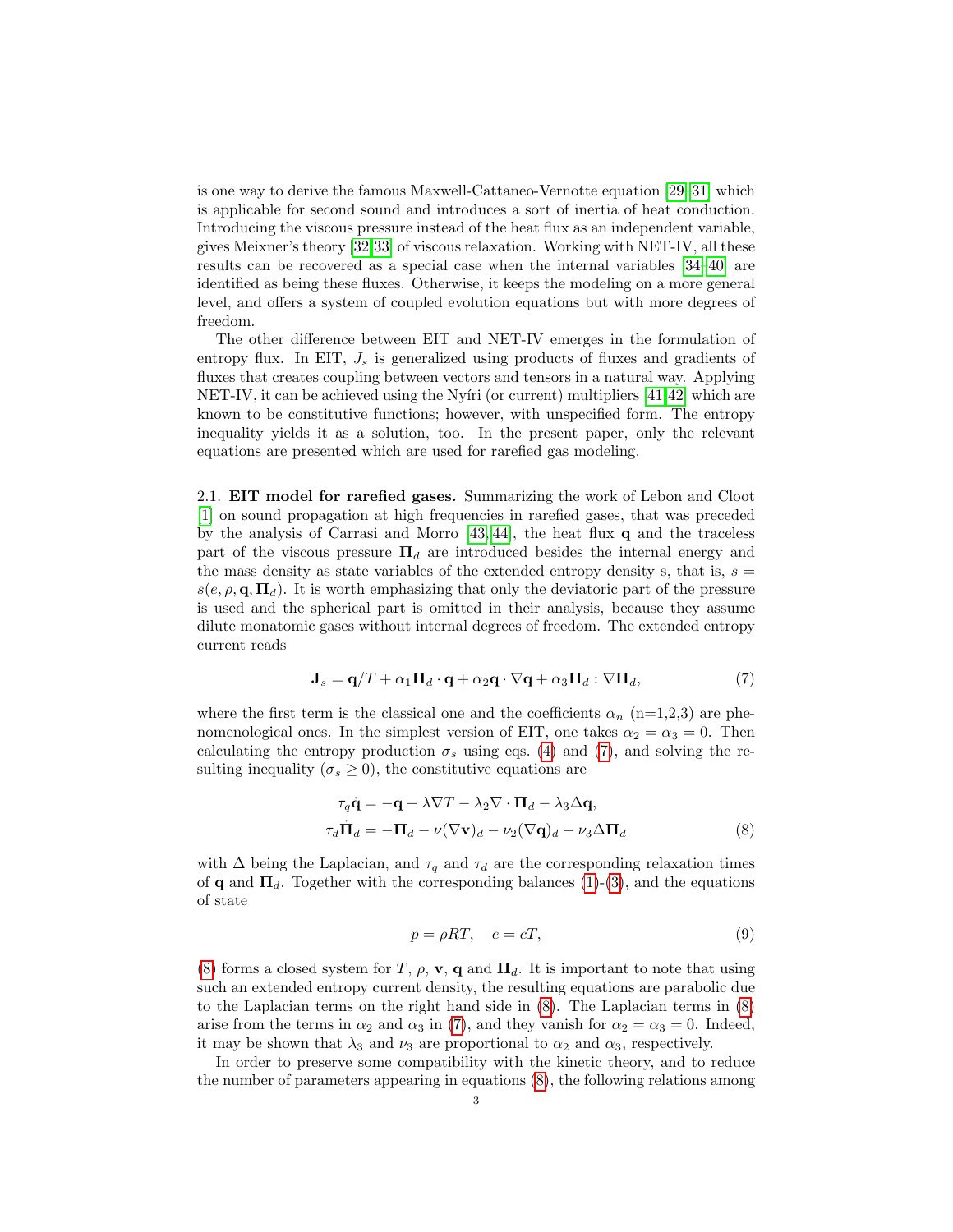is one way to derive the famous Maxwell-Cattaneo-Vernotte equation [\[29–](#page-10-7)[31\]](#page-10-8) which is applicable for second sound and introduces a sort of inertia of heat conduction. Introducing the viscous pressure instead of the heat flux as an independent variable, gives Meixner's theory [\[32](#page-10-9)[,33\]](#page-10-10) of viscous relaxation. Working with NET-IV, all these results can be recovered as a special case when the internal variables [\[34](#page-10-11)[–40\]](#page-10-12) are identified as being these fluxes. Otherwise, it keeps the modeling on a more general level, and offers a system of coupled evolution equations but with more degrees of freedom.

The other difference between EIT and NET-IV emerges in the formulation of entropy flux. In EIT,  $J_s$  is generalized using products of fluxes and gradients of fluxes that creates coupling between vectors and tensors in a natural way. Applying NET-IV, it can be achieved using the Nyíri (or current) multipliers [\[41,](#page-10-13)[42\]](#page-10-14) which are known to be constitutive functions; however, with unspecified form. The entropy inequality yields it as a solution, too. In the present paper, only the relevant equations are presented which are used for rarefied gas modeling.

2.1. EIT model for rarefied gases. Summarizing the work of Lebon and Cloot [\[1\]](#page-9-0) on sound propagation at high frequencies in rarefied gases, that was preceded by the analysis of Carrasi and Morro  $[43, 44]$  $[43, 44]$ , the heat flux q and the traceless part of the viscous pressure  $\Pi_d$  are introduced besides the internal energy and the mass density as state variables of the extended entropy density s, that is,  $s =$  $s(e, \rho, \mathbf{q}, \mathbf{\Pi}_d)$ . It is worth emphasizing that only the deviatoric part of the pressure is used and the spherical part is omitted in their analysis, because they assume dilute monatomic gases without internal degrees of freedom. The extended entropy current reads

$$
\mathbf{J}_s = \mathbf{q}/T + \alpha_1 \mathbf{\Pi}_d \cdot \mathbf{q} + \alpha_2 \mathbf{q} \cdot \nabla \mathbf{q} + \alpha_3 \mathbf{\Pi}_d : \nabla \mathbf{\Pi}_d,\tag{7}
$$

where the first term is the classical one and the coefficients  $\alpha_n$  (n=1,2,3) are phenomenological ones. In the simplest version of EIT, one takes  $\alpha_2 = \alpha_3 = 0$ . Then calculating the entropy production  $\sigma_s$  using eqs. [\(4\)](#page-1-0) and [\(7\)](#page-2-0), and solving the resulting inequality ( $\sigma_s \geq 0$ ), the constitutive equations are

$$
\tau_q \dot{\mathbf{q}} = -\mathbf{q} - \lambda \nabla T - \lambda_2 \nabla \cdot \mathbf{\Pi}_d - \lambda_3 \Delta \mathbf{q},
$$
  
\n
$$
\tau_d \dot{\mathbf{H}}_d = -\mathbf{\Pi}_d - \nu (\nabla \mathbf{v})_d - \nu_2 (\nabla \mathbf{q})_d - \nu_3 \Delta \mathbf{\Pi}_d
$$
\n(8)

with  $\Delta$  being the Laplacian, and  $\tau_q$  and  $\tau_d$  are the corresponding relaxation times of **q** and  $\Pi_d$ . Together with the corresponding balances [\(1\)](#page-1-1)-[\(3\)](#page-1-2), and the equations of state

<span id="page-2-1"></span><span id="page-2-0"></span>
$$
p = \rho RT, \quad e = cT,\tag{9}
$$

[\(8\)](#page-2-1) forms a closed system for T,  $\rho$ ,  $\mathbf{v}$ , q and  $\Pi_d$ . It is important to note that using such an extended entropy current density, the resulting equations are parabolic due to the Laplacian terms on the right hand side in [\(8\)](#page-2-1). The Laplacian terms in [\(8\)](#page-2-1) arise from the terms in  $\alpha_2$  and  $\alpha_3$  in [\(7\)](#page-2-0), and they vanish for  $\alpha_2 = \alpha_3 = 0$ . Indeed, it may be shown that  $\lambda_3$  and  $\nu_3$  are proportional to  $\alpha_2$  and  $\alpha_3$ , respectively.

In order to preserve some compatibility with the kinetic theory, and to reduce the number of parameters appearing in equations [\(8\)](#page-2-1), the following relations among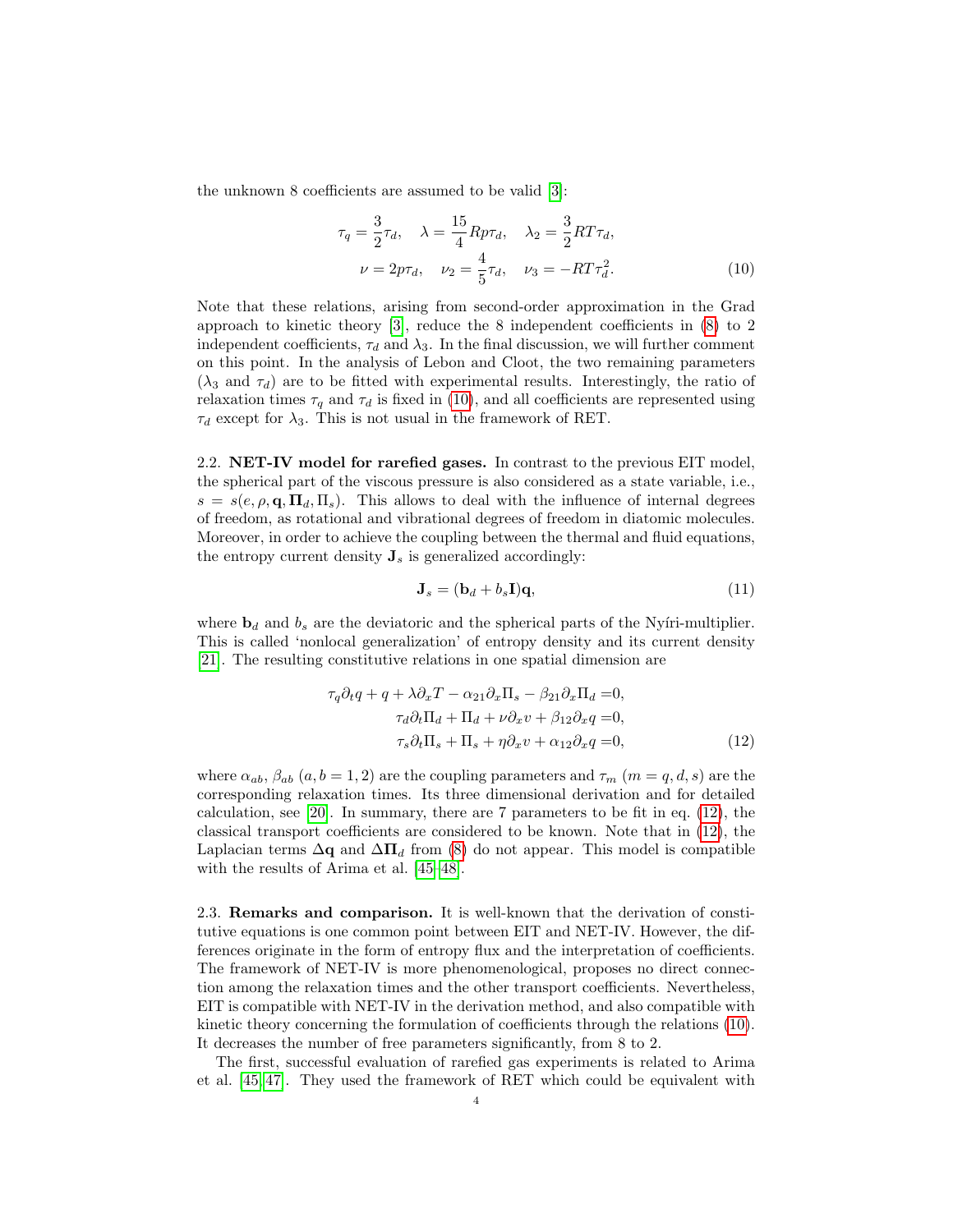the unknown 8 coefficients are assumed to be valid [\[3\]](#page-9-9):

<span id="page-3-0"></span>
$$
\tau_q = \frac{3}{2}\tau_d, \quad \lambda = \frac{15}{4}Rp\tau_d, \quad \lambda_2 = \frac{3}{2}RT\tau_d, \nu = 2p\tau_d, \quad \nu_2 = \frac{4}{5}\tau_d, \quad \nu_3 = -RT\tau_d^2.
$$
\n(10)

Note that these relations, arising from second-order approximation in the Grad approach to kinetic theory [\[3\]](#page-9-9), reduce the 8 independent coefficients in [\(8\)](#page-2-1) to 2 independent coefficients,  $\tau_d$  and  $\lambda_3$ . In the final discussion, we will further comment on this point. In the analysis of Lebon and Cloot, the two remaining parameters  $(\lambda_3 \text{ and } \tau_d)$  are to be fitted with experimental results. Interestingly, the ratio of relaxation times  $\tau_q$  and  $\tau_d$  is fixed in [\(10\)](#page-3-0), and all coefficients are represented using  $\tau_d$  except for  $\lambda_3$ . This is not usual in the framework of RET.

2.2. NET-IV model for rarefied gases. In contrast to the previous EIT model, the spherical part of the viscous pressure is also considered as a state variable, i.e.,  $s = s(e, \rho, \mathbf{q}, \mathbf{\Pi}_d, \mathbf{\Pi}_s)$ . This allows to deal with the influence of internal degrees of freedom, as rotational and vibrational degrees of freedom in diatomic molecules. Moreover, in order to achieve the coupling between the thermal and fluid equations, the entropy current density  $J_s$  is generalized accordingly:

<span id="page-3-1"></span>
$$
\mathbf{J}_s = (\mathbf{b}_d + b_s \mathbf{I})\mathbf{q},\tag{11}
$$

where  $\mathbf{b}_d$  and  $b_s$  are the deviatoric and the spherical parts of the Nyíri-multiplier. This is called 'nonlocal generalization' of entropy density and its current density [\[21\]](#page-9-8). The resulting constitutive relations in one spatial dimension are

$$
\tau_q \partial_t q + q + \lambda \partial_x T - \alpha_{21} \partial_x \Pi_s - \beta_{21} \partial_x \Pi_d = 0,
$$
  
\n
$$
\tau_d \partial_t \Pi_d + \Pi_d + \nu \partial_x v + \beta_{12} \partial_x q = 0,
$$
  
\n
$$
\tau_s \partial_t \Pi_s + \Pi_s + \eta \partial_x v + \alpha_{12} \partial_x q = 0,
$$
\n(12)

where  $\alpha_{ab}$ ,  $\beta_{ab}$   $(a, b = 1, 2)$  are the coupling parameters and  $\tau_m$   $(m = q, d, s)$  are the corresponding relaxation times. Its three dimensional derivation and for detailed calculation, see [\[20\]](#page-9-7). In summary, there are 7 parameters to be fit in eq. [\(12\)](#page-3-1), the classical transport coefficients are considered to be known. Note that in [\(12\)](#page-3-1), the Laplacian terms  $\Delta q$  and  $\Delta \Pi_d$  from [\(8\)](#page-2-1) do not appear. This model is compatible with the results of Arima et al. [\[45](#page-10-17)[–48\]](#page-10-18).

2.3. Remarks and comparison. It is well-known that the derivation of constitutive equations is one common point between EIT and NET-IV. However, the differences originate in the form of entropy flux and the interpretation of coefficients. The framework of NET-IV is more phenomenological, proposes no direct connection among the relaxation times and the other transport coefficients. Nevertheless, EIT is compatible with NET-IV in the derivation method, and also compatible with kinetic theory concerning the formulation of coefficients through the relations [\(10\)](#page-3-0). It decreases the number of free parameters significantly, from 8 to 2.

The first, successful evaluation of rarefied gas experiments is related to Arima et al. [\[45,](#page-10-17) [47\]](#page-10-19). They used the framework of RET which could be equivalent with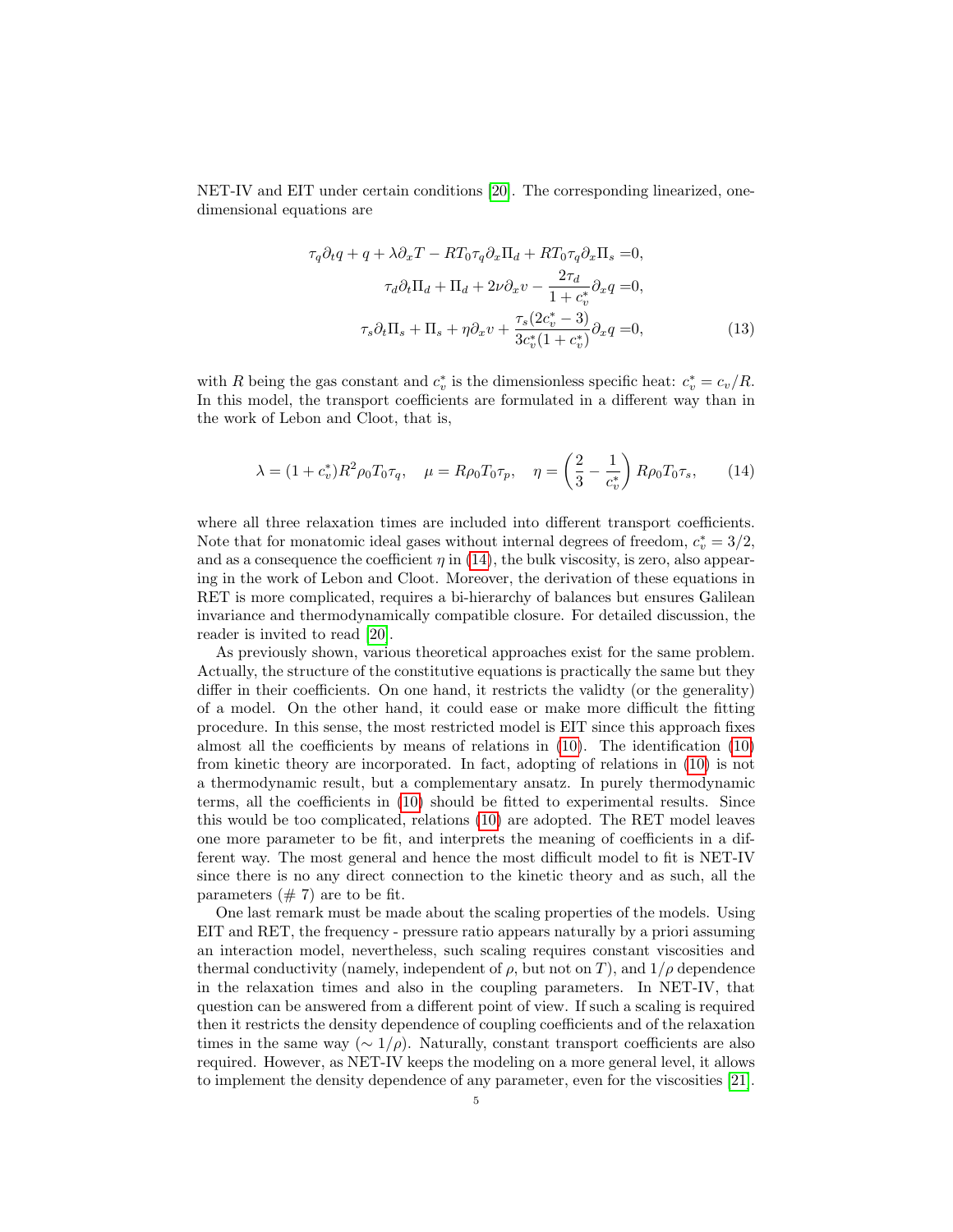NET-IV and EIT under certain conditions [\[20\]](#page-9-7). The corresponding linearized, onedimensional equations are

<span id="page-4-0"></span>
$$
\tau_q \partial_t q + q + \lambda \partial_x T - RT_0 \tau_q \partial_x \Pi_d + RT_0 \tau_q \partial_x \Pi_s = 0,
$$
  
\n
$$
\tau_d \partial_t \Pi_d + \Pi_d + 2\nu \partial_x v - \frac{2\tau_d}{1 + c_v^*} \partial_x q = 0,
$$
  
\n
$$
\tau_s \partial_t \Pi_s + \Pi_s + \eta \partial_x v + \frac{\tau_s (2c_v^* - 3)}{3c_v^* (1 + c_v^*)} \partial_x q = 0,
$$
\n(13)

with R being the gas constant and  $c_v^*$  is the dimensionless specific heat:  $c_v^* = c_v/R$ . In this model, the transport coefficients are formulated in a different way than in the work of Lebon and Cloot, that is,

$$
\lambda = (1 + c_v^*) R^2 \rho_0 T_0 \tau_q, \quad \mu = R \rho_0 T_0 \tau_p, \quad \eta = \left(\frac{2}{3} - \frac{1}{c_v^*}\right) R \rho_0 T_0 \tau_s, \tag{14}
$$

where all three relaxation times are included into different transport coefficients. Note that for monatomic ideal gases without internal degrees of freedom,  $c_v^* = 3/2$ , and as a consequence the coefficient  $\eta$  in [\(14\)](#page-4-0), the bulk viscosity, is zero, also appearing in the work of Lebon and Cloot. Moreover, the derivation of these equations in RET is more complicated, requires a bi-hierarchy of balances but ensures Galilean invariance and thermodynamically compatible closure. For detailed discussion, the reader is invited to read [\[20\]](#page-9-7).

As previously shown, various theoretical approaches exist for the same problem. Actually, the structure of the constitutive equations is practically the same but they differ in their coefficients. On one hand, it restricts the validty (or the generality) of a model. On the other hand, it could ease or make more difficult the fitting procedure. In this sense, the most restricted model is EIT since this approach fixes almost all the coefficients by means of relations in [\(10\)](#page-3-0). The identification [\(10\)](#page-3-0) from kinetic theory are incorporated. In fact, adopting of relations in [\(10\)](#page-3-0) is not a thermodynamic result, but a complementary ansatz. In purely thermodynamic terms, all the coefficients in [\(10\)](#page-3-0) should be fitted to experimental results. Since this would be too complicated, relations [\(10\)](#page-3-0) are adopted. The RET model leaves one more parameter to be fit, and interprets the meaning of coefficients in a different way. The most general and hence the most difficult model to fit is NET-IV since there is no any direct connection to the kinetic theory and as such, all the parameters  $(\# 7)$  are to be fit.

One last remark must be made about the scaling properties of the models. Using EIT and RET, the frequency - pressure ratio appears naturally by a priori assuming an interaction model, nevertheless, such scaling requires constant viscosities and thermal conductivity (namely, independent of  $\rho$ , but not on T), and  $1/\rho$  dependence in the relaxation times and also in the coupling parameters. In NET-IV, that question can be answered from a different point of view. If such a scaling is required then it restricts the density dependence of coupling coefficients and of the relaxation times in the same way ( $\sim 1/\rho$ ). Naturally, constant transport coefficients are also required. However, as NET-IV keeps the modeling on a more general level, it allows to implement the density dependence of any parameter, even for the viscosities [\[21\]](#page-9-8).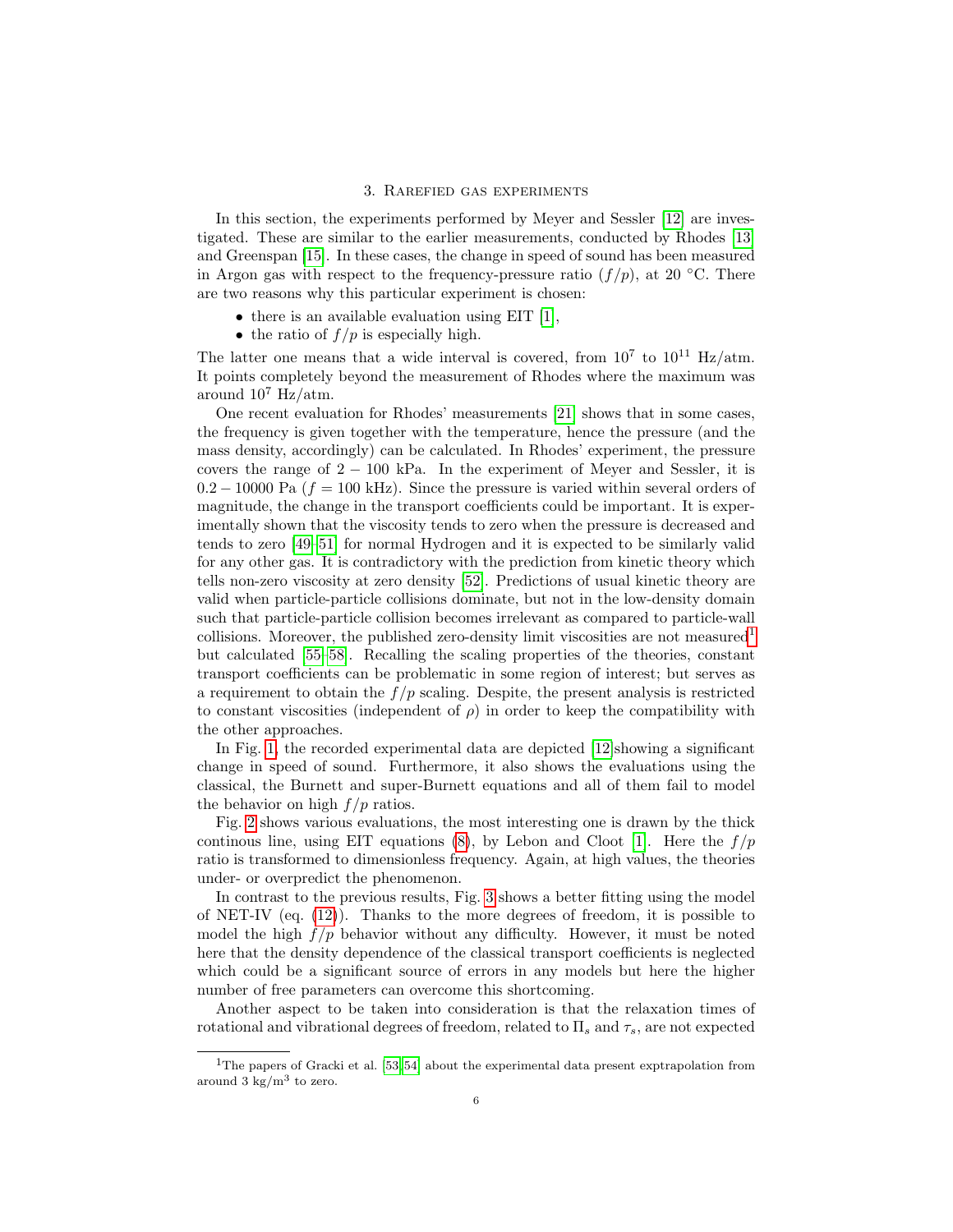### 3. Rarefied gas experiments

In this section, the experiments performed by Meyer and Sessler [\[12\]](#page-9-2) are investigated. These are similar to the earlier measurements, conducted by Rhodes [\[13\]](#page-9-3) and Greenspan [\[15\]](#page-9-10). In these cases, the change in speed of sound has been measured in Argon gas with respect to the frequency-pressure ratio  $(f/p)$ , at 20 °C. There are two reasons why this particular experiment is chosen:

- $\bullet$  there is an available evaluation using EIT [\[1\]](#page-9-0),
- the ratio of  $f/p$  is especially high.

The latter one means that a wide interval is covered, from  $10^7$  to  $10^{11}$  Hz/atm. It points completely beyond the measurement of Rhodes where the maximum was around  $10^7$  Hz/atm.

One recent evaluation for Rhodes' measurements [\[21\]](#page-9-8) shows that in some cases, the frequency is given together with the temperature, hence the pressure (and the mass density, accordingly) can be calculated. In Rhodes' experiment, the pressure covers the range of  $2 - 100$  kPa. In the experiment of Meyer and Sessler, it is  $0.2 - 10000$  Pa ( $f = 100$  kHz). Since the pressure is varied within several orders of magnitude, the change in the transport coefficients could be important. It is experimentally shown that the viscosity tends to zero when the pressure is decreased and tends to zero [\[49–](#page-10-20)[51\]](#page-11-0) for normal Hydrogen and it is expected to be similarly valid for any other gas. It is contradictory with the prediction from kinetic theory which tells non-zero viscosity at zero density [\[52\]](#page-11-1). Predictions of usual kinetic theory are valid when particle-particle collisions dominate, but not in the low-density domain such that particle-particle collision becomes irrelevant as compared to particle-wall collisions. Moreover, the published zero-density limit viscosities are not measured<sup>[1](#page-5-0)</sup> but calculated [\[55](#page-11-2)[–58\]](#page-11-3). Recalling the scaling properties of the theories, constant transport coefficients can be problematic in some region of interest; but serves as a requirement to obtain the  $f/p$  scaling. Despite, the present analysis is restricted to constant viscosities (independent of  $\rho$ ) in order to keep the compatibility with the other approaches.

In Fig. [1,](#page-6-0) the recorded experimental data are depicted [\[12\]](#page-9-2)showing a significant change in speed of sound. Furthermore, it also shows the evaluations using the classical, the Burnett and super-Burnett equations and all of them fail to model the behavior on high  $f/p$  ratios.

Fig. [2](#page-6-1) shows various evaluations, the most interesting one is drawn by the thick continous line, using EIT equations [\(8\)](#page-2-1), by Lebon and Cloot [\[1\]](#page-9-0). Here the  $f/p$ ratio is transformed to dimensionless frequency. Again, at high values, the theories under- or overpredict the phenomenon.

In contrast to the previous results, Fig. [3](#page-7-0) shows a better fitting using the model of NET-IV (eq. [\(12\)](#page-3-1)). Thanks to the more degrees of freedom, it is possible to model the high  $f/p$  behavior without any difficulty. However, it must be noted here that the density dependence of the classical transport coefficients is neglected which could be a significant source of errors in any models but here the higher number of free parameters can overcome this shortcoming.

Another aspect to be taken into consideration is that the relaxation times of rotational and vibrational degrees of freedom, related to  $\Pi_s$  and  $\tau_s$ , are not expected

<span id="page-5-0"></span><sup>&</sup>lt;sup>1</sup>The papers of Gracki et al. [\[53,](#page-11-4) [54\]](#page-11-5) about the experimental data present exptrapolation from around 3  $\text{kg/m}^3$  to zero.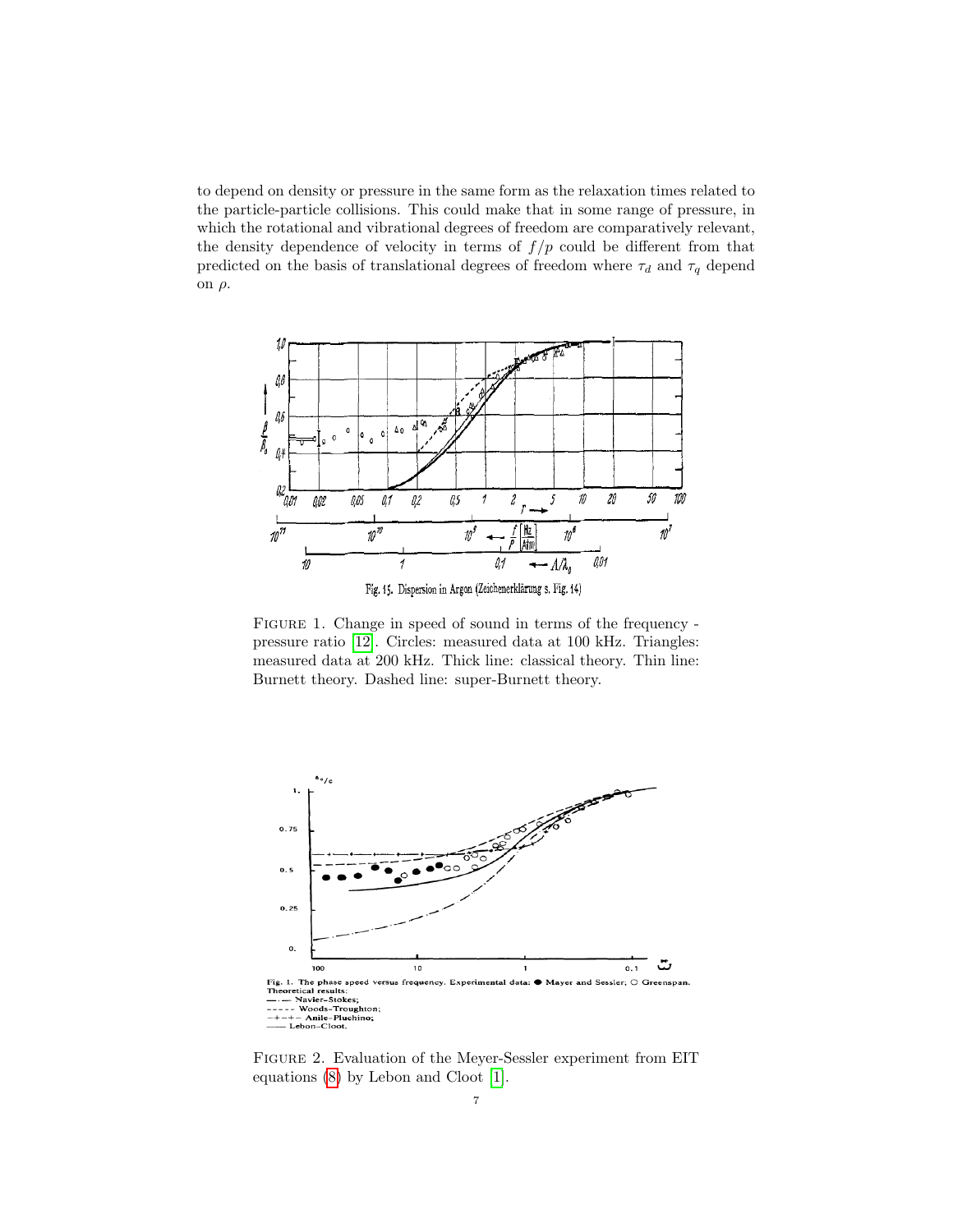to depend on density or pressure in the same form as the relaxation times related to the particle-particle collisions. This could make that in some range of pressure, in which the rotational and vibrational degrees of freedom are comparatively relevant, the density dependence of velocity in terms of  $f/p$  could be different from that predicted on the basis of translational degrees of freedom where  $\tau_d$  and  $\tau_q$  depend on ρ.



<span id="page-6-0"></span>FIGURE 1. Change in speed of sound in terms of the frequency pressure ratio [\[12\]](#page-9-2). Circles: measured data at 100 kHz. Triangles: measured data at 200 kHz. Thick line: classical theory. Thin line: Burnett theory. Dashed line: super-Burnett theory.



<span id="page-6-1"></span>Figure 2. Evaluation of the Meyer-Sessler experiment from EIT equations [\(8\)](#page-2-1) by Lebon and Cloot [\[1\]](#page-9-0).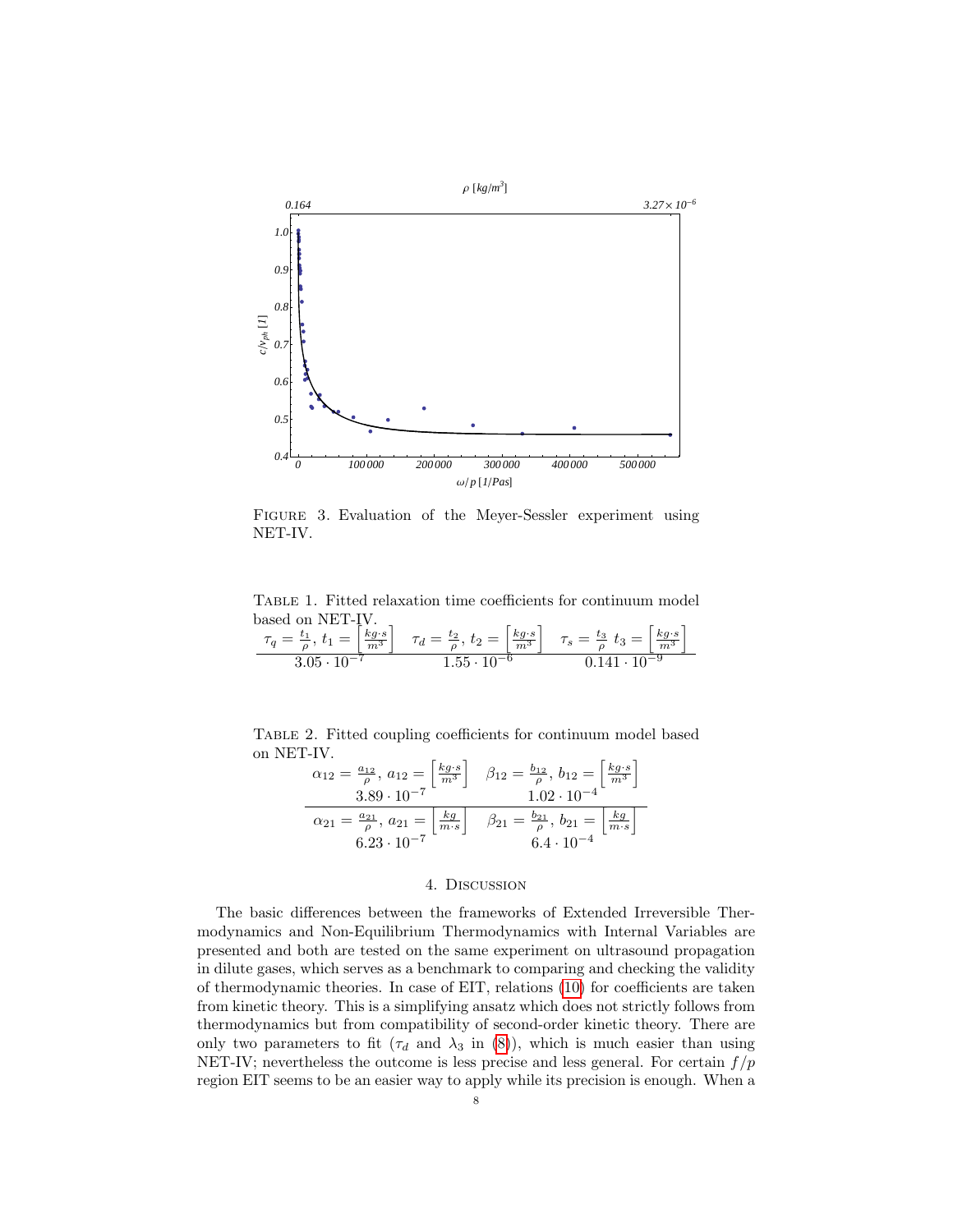

<span id="page-7-0"></span>Figure 3. Evaluation of the Meyer-Sessler experiment using NET-IV.

<span id="page-7-1"></span>Table 1. Fitted relaxation time coefficients for continuum model based on NET-IV.

$$
\frac{\tau_q = \frac{t_1}{\rho}, t_1 = \left[\frac{kg \cdot s}{m^3}\right] \quad \tau_d = \frac{t_2}{\rho}, t_2 = \left[\frac{kg \cdot s}{m^3}\right] \quad \tau_s = \frac{t_3}{\rho} \quad t_3 = \left[\frac{kg \cdot s}{m^3}\right]}{3.05 \cdot 10^{-7}} = 1.55 \cdot 10^{-6} = 0.141 \cdot 10^{-9}
$$

Table 2. Fitted coupling coefficients for continuum model based on NET-IV.

<span id="page-7-2"></span>
$$
\alpha_{12} = \frac{a_{12}}{\rho}, \ a_{12} = \left[\frac{kg \cdot s}{m^3}\right] \quad \beta_{12} = \frac{b_{12}}{\rho}, \ b_{12} = \left[\frac{kg \cdot s}{m^3}\right]
$$
  

$$
\alpha_{21} = \frac{a_{21}}{\rho}, \ a_{21} = \left[\frac{kg}{m \cdot s}\right] \quad \beta_{21} = \frac{b_{21}}{\rho}, \ b_{21} = \left[\frac{kg}{m \cdot s}\right]
$$
  

$$
6.23 \cdot 10^{-7} \quad 6.4 \cdot 10^{-4}
$$

## 4. Discussion

The basic differences between the frameworks of Extended Irreversible Thermodynamics and Non-Equilibrium Thermodynamics with Internal Variables are presented and both are tested on the same experiment on ultrasound propagation in dilute gases, which serves as a benchmark to comparing and checking the validity of thermodynamic theories. In case of EIT, relations [\(10\)](#page-3-0) for coefficients are taken from kinetic theory. This is a simplifying ansatz which does not strictly follows from thermodynamics but from compatibility of second-order kinetic theory. There are only two parameters to fit ( $\tau_d$  and  $\lambda_3$  in [\(8\)](#page-2-1)), which is much easier than using NET-IV; nevertheless the outcome is less precise and less general. For certain  $f/p$ region EIT seems to be an easier way to apply while its precision is enough. When a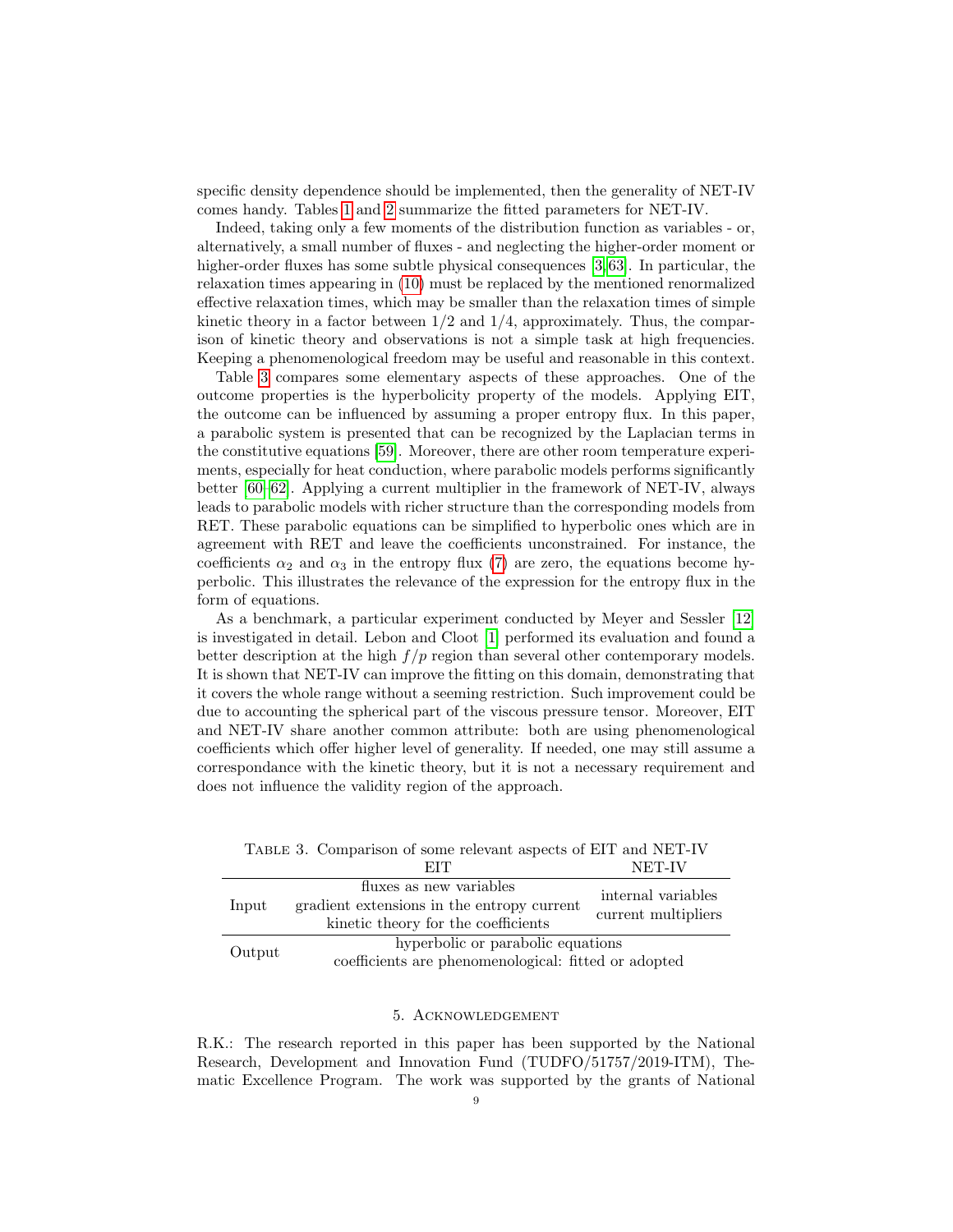specific density dependence should be implemented, then the generality of NET-IV comes handy. Tables [1](#page-7-1) and [2](#page-7-2) summarize the fitted parameters for NET-IV.

Indeed, taking only a few moments of the distribution function as variables - or, alternatively, a small number of fluxes - and neglecting the higher-order moment or higher-order fluxes has some subtle physical consequences [\[3,](#page-9-9)63]. In particular, the relaxation times appearing in [\(10\)](#page-3-0) must be replaced by the mentioned renormalized effective relaxation times, which may be smaller than the relaxation times of simple kinetic theory in a factor between  $1/2$  and  $1/4$ , approximately. Thus, the comparison of kinetic theory and observations is not a simple task at high frequencies. Keeping a phenomenological freedom may be useful and reasonable in this context.

Table [3](#page-8-0) compares some elementary aspects of these approaches. One of the outcome properties is the hyperbolicity property of the models. Applying EIT, the outcome can be influenced by assuming a proper entropy flux. In this paper, a parabolic system is presented that can be recognized by the Laplacian terms in the constitutive equations [\[59\]](#page-11-7). Moreover, there are other room temperature experiments, especially for heat conduction, where parabolic models performs significantly better [\[60–](#page-11-8)[62\]](#page-11-9). Applying a current multiplier in the framework of NET-IV, always leads to parabolic models with richer structure than the corresponding models from RET. These parabolic equations can be simplified to hyperbolic ones which are in agreement with RET and leave the coefficients unconstrained. For instance, the coefficients  $\alpha_2$  and  $\alpha_3$  in the entropy flux [\(7\)](#page-2-0) are zero, the equations become hyperbolic. This illustrates the relevance of the expression for the entropy flux in the form of equations.

As a benchmark, a particular experiment conducted by Meyer and Sessler [\[12\]](#page-9-2) is investigated in detail. Lebon and Cloot [\[1\]](#page-9-0) performed its evaluation and found a better description at the high  $f/p$  region than several other contemporary models. It is shown that NET-IV can improve the fitting on this domain, demonstrating that it covers the whole range without a seeming restriction. Such improvement could be due to accounting the spherical part of the viscous pressure tensor. Moreover, EIT and NET-IV share another common attribute: both are using phenomenological coefficients which offer higher level of generality. If needed, one may still assume a correspondance with the kinetic theory, but it is not a necessary requirement and does not influence the validity region of the approach.

|  |        | EIT                                                  | NET-IV                                    |  |
|--|--------|------------------------------------------------------|-------------------------------------------|--|
|  | Input  | fluxes as new variables                              | internal variables<br>current multipliers |  |
|  |        | gradient extensions in the entropy current           |                                           |  |
|  |        | kinetic theory for the coefficients                  |                                           |  |
|  | Output | hyperbolic or parabolic equations                    |                                           |  |
|  |        | coefficients are phenomenological: fitted or adopted |                                           |  |

<span id="page-8-0"></span>Table 3. Comparison of some relevant aspects of EIT and NET-IV

## 5. Acknowledgement

R.K.: The research reported in this paper has been supported by the National Research, Development and Innovation Fund (TUDFO/51757/2019-ITM), Thematic Excellence Program. The work was supported by the grants of National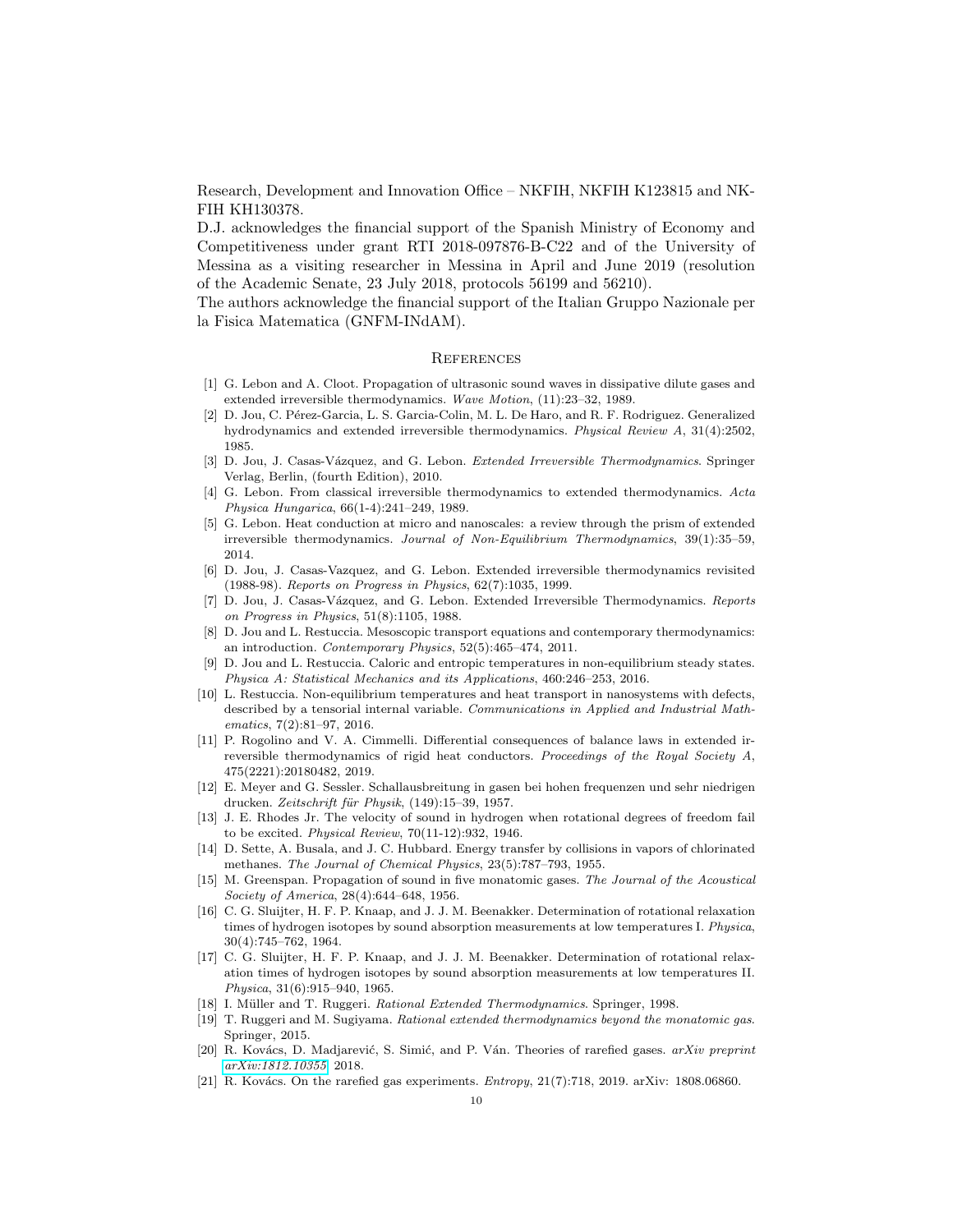Research, Development and Innovation Office – NKFIH, NKFIH K123815 and NK-FIH KH130378.

D.J. acknowledges the financial support of the Spanish Ministry of Economy and Competitiveness under grant RTI 2018-097876-B-C22 and of the University of Messina as a visiting researcher in Messina in April and June 2019 (resolution of the Academic Senate, 23 July 2018, protocols 56199 and 56210).

The authors acknowledge the financial support of the Italian Gruppo Nazionale per la Fisica Matematica (GNFM-INdAM).

## **REFERENCES**

- <span id="page-9-0"></span>[1] G. Lebon and A. Cloot. Propagation of ultrasonic sound waves in dissipative dilute gases and extended irreversible thermodynamics. Wave Motion, (11):23–32, 1989.
- [2] D. Jou, C. Pérez-Garcia, L. S. Garcia-Colin, M. L. De Haro, and R. F. Rodriguez. Generalized hydrodynamics and extended irreversible thermodynamics. Physical Review A, 31(4):2502, 1985.
- <span id="page-9-9"></span>[3] D. Jou, J. Casas-Vázquez, and G. Lebon. Extended Irreversible Thermodynamics. Springer Verlag, Berlin, (fourth Edition), 2010.
- [4] G. Lebon. From classical irreversible thermodynamics to extended thermodynamics. Acta Physica Hungarica, 66(1-4):241–249, 1989.
- [5] G. Lebon. Heat conduction at micro and nanoscales: a review through the prism of extended irreversible thermodynamics. Journal of Non-Equilibrium Thermodynamics, 39(1):35–59, 2014.
- [6] D. Jou, J. Casas-Vazquez, and G. Lebon. Extended irreversible thermodynamics revisited (1988-98). Reports on Progress in Physics, 62(7):1035, 1999.
- [7] D. Jou, J. Casas-Vázquez, and G. Lebon. Extended Irreversible Thermodynamics. Reports on Progress in Physics, 51(8):1105, 1988.
- [8] D. Jou and L. Restuccia. Mesoscopic transport equations and contemporary thermodynamics: an introduction. Contemporary Physics, 52(5):465–474, 2011.
- [9] D. Jou and L. Restuccia. Caloric and entropic temperatures in non-equilibrium steady states. Physica A: Statistical Mechanics and its Applications, 460:246–253, 2016.
- [10] L. Restuccia. Non-equilibrium temperatures and heat transport in nanosystems with defects, described by a tensorial internal variable. Communications in Applied and Industrial Mathematics, 7(2):81–97, 2016.
- <span id="page-9-1"></span>[11] P. Rogolino and V. A. Cimmelli. Differential consequences of balance laws in extended irreversible thermodynamics of rigid heat conductors. Proceedings of the Royal Society A, 475(2221):20180482, 2019.
- <span id="page-9-2"></span>[12] E. Meyer and G. Sessler. Schallausbreitung in gasen bei hohen frequenzen und sehr niedrigen drucken. Zeitschrift für Physik, (149):15–39, 1957.
- <span id="page-9-3"></span>[13] J. E. Rhodes Jr. The velocity of sound in hydrogen when rotational degrees of freedom fail to be excited. Physical Review, 70(11-12):932, 1946.
- [14] D. Sette, A. Busala, and J. C. Hubbard. Energy transfer by collisions in vapors of chlorinated methanes. The Journal of Chemical Physics, 23(5):787–793, 1955.
- <span id="page-9-10"></span>[15] M. Greenspan. Propagation of sound in five monatomic gases. The Journal of the Acoustical Society of America, 28(4):644–648, 1956.
- [16] C. G. Sluijter, H. F. P. Knaap, and J. J. M. Beenakker. Determination of rotational relaxation times of hydrogen isotopes by sound absorption measurements at low temperatures I. Physica, 30(4):745–762, 1964.
- <span id="page-9-4"></span>[17] C. G. Sluijter, H. F. P. Knaap, and J. J. M. Beenakker. Determination of rotational relaxation times of hydrogen isotopes by sound absorption measurements at low temperatures II. Physica, 31(6):915–940, 1965.
- <span id="page-9-5"></span>[18] I. Müller and T. Ruggeri. Rational Extended Thermodynamics. Springer, 1998.
- <span id="page-9-6"></span>[19] T. Ruggeri and M. Sugiyama. Rational extended thermodynamics beyond the monatomic gas. Springer, 2015.
- <span id="page-9-7"></span>[20] R. Kovács, D. Madjarević, S. Simić, and P. Ván. Theories of rarefied gases. arXiv preprint [arXiv:1812.10355](http://arxiv.org/abs/1812.10355), 2018.
- <span id="page-9-8"></span>[21] R. Kovács. On the rarefied gas experiments.  $Entropy, 21(7):718, 2019$ . arXiv: 1808.06860.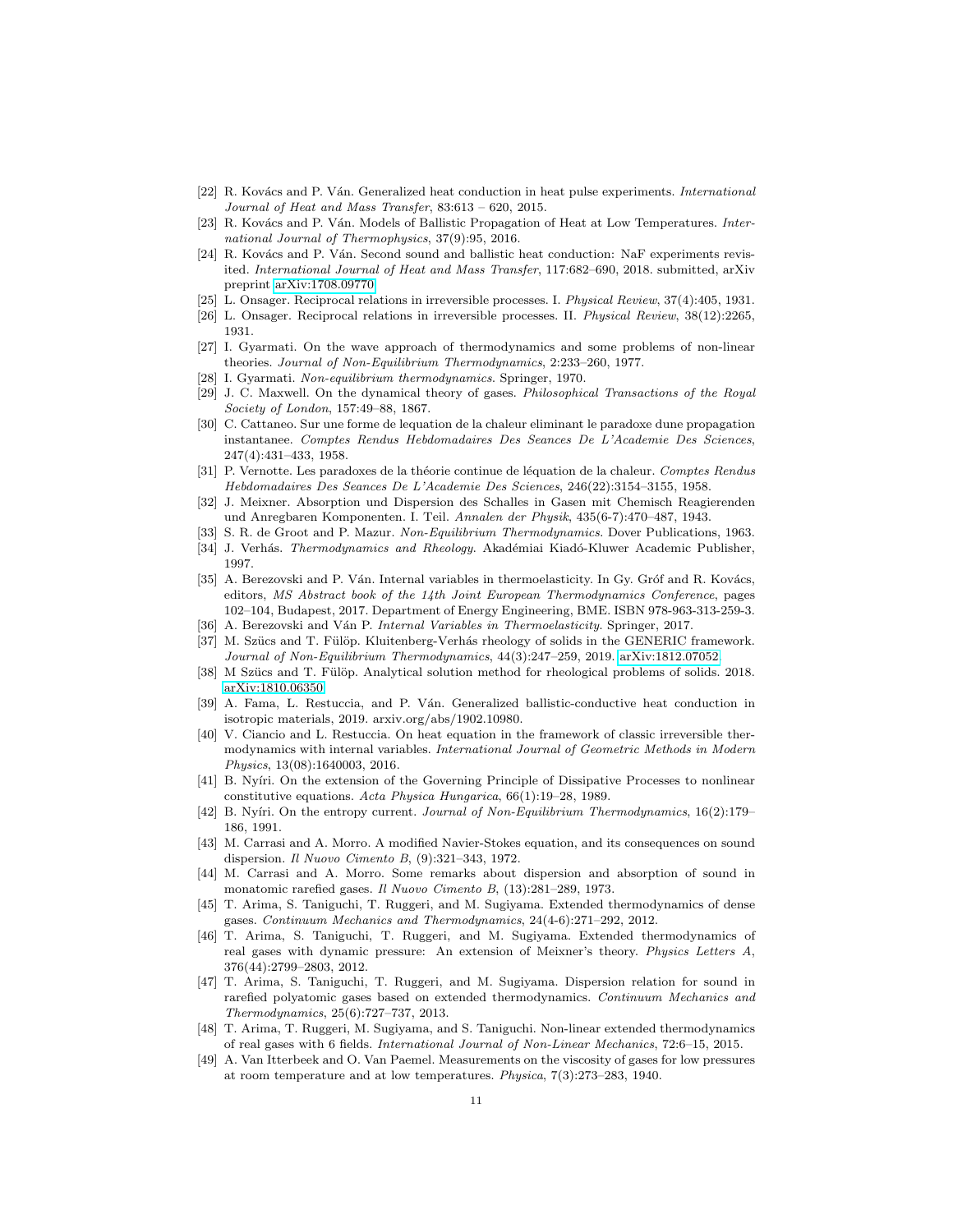- <span id="page-10-0"></span>[22] R. Kovács and P. Ván. Generalized heat conduction in heat pulse experiments. International Journal of Heat and Mass Transfer, 83:613 – 620, 2015.
- <span id="page-10-1"></span>[23] R. Kovács and P. Ván. Models of Ballistic Propagation of Heat at Low Temperatures. International Journal of Thermophysics, 37(9):95, 2016.
- <span id="page-10-2"></span>[24] R. Kovács and P. Ván. Second sound and ballistic heat conduction: NaF experiments revisited. International Journal of Heat and Mass Transfer, 117:682–690, 2018. submitted, arXiv preprint [arXiv:1708.09770.](http://arxiv.org/abs/1708.09770)
- <span id="page-10-3"></span>[25] L. Onsager. Reciprocal relations in irreversible processes. I. Physical Review, 37(4):405, 1931.
- <span id="page-10-4"></span>[26] L. Onsager. Reciprocal relations in irreversible processes. II. Physical Review, 38(12):2265, 1931.
- <span id="page-10-5"></span>[27] I. Gyarmati. On the wave approach of thermodynamics and some problems of non-linear theories. Journal of Non-Equilibrium Thermodynamics, 2:233–260, 1977.
- <span id="page-10-6"></span>[28] I. Gyarmati. Non-equilibrium thermodynamics. Springer, 1970.
- <span id="page-10-7"></span>[29] J. C. Maxwell. On the dynamical theory of gases. Philosophical Transactions of the Royal Society of London, 157:49–88, 1867.
- [30] C. Cattaneo. Sur une forme de lequation de la chaleur eliminant le paradoxe dune propagation instantanee. Comptes Rendus Hebdomadaires Des Seances De L'Academie Des Sciences, 247(4):431–433, 1958.
- <span id="page-10-8"></span>[31] P. Vernotte. Les paradoxes de la théorie continue de léquation de la chaleur. Comptes Rendus Hebdomadaires Des Seances De L'Academie Des Sciences, 246(22):3154–3155, 1958.
- <span id="page-10-9"></span>[32] J. Meixner. Absorption und Dispersion des Schalles in Gasen mit Chemisch Reagierenden und Anregbaren Komponenten. I. Teil. Annalen der Physik, 435(6-7):470–487, 1943.
- <span id="page-10-10"></span>[33] S. R. de Groot and P. Mazur. Non-Equilibrium Thermodynamics. Dover Publications, 1963.
- <span id="page-10-11"></span>[34] J. Verhás. Thermodynamics and Rheology. Akadémiai Kiadó-Kluwer Academic Publisher, 1997.
- [35] A. Berezovski and P. Ván. Internal variables in thermoelasticity. In Gy. Gróf and R. Kovács, editors, MS Abstract book of the 14th Joint European Thermodynamics Conference, pages 102–104, Budapest, 2017. Department of Energy Engineering, BME. ISBN 978-963-313-259-3.
- [36] A. Berezovski and Ván P. Internal Variables in Thermoelasticity. Springer, 2017.
- [37] M. Szücs and T. Fülöp. Kluitenberg-Verhás rheology of solids in the GENERIC framework. Journal of Non-Equilibrium Thermodynamics, 44(3):247–259, 2019. [arXiv:1812.07052.](http://arxiv.org/abs/1812.07052)
- [38] M Szücs and T. Fülöp. Analytical solution method for rheological problems of solids. 2018. [arXiv:1810.06350.](http://arxiv.org/abs/1810.06350)
- [39] A. Fama, L. Restuccia, and P. Ván. Generalized ballistic-conductive heat conduction in isotropic materials, 2019. arxiv.org/abs/1902.10980.
- <span id="page-10-12"></span>[40] V. Ciancio and L. Restuccia. On heat equation in the framework of classic irreversible thermodynamics with internal variables. International Journal of Geometric Methods in Modern Physics, 13(08):1640003, 2016.
- <span id="page-10-13"></span>[41] B. Nyíri. On the extension of the Governing Principle of Dissipative Processes to nonlinear constitutive equations. Acta Physica Hungarica, 66(1):19–28, 1989.
- <span id="page-10-14"></span>[42] B. Nyíri. On the entropy current. Journal of Non-Equilibrium Thermodynamics, 16(2):179– 186, 1991.
- <span id="page-10-15"></span>[43] M. Carrasi and A. Morro. A modified Navier-Stokes equation, and its consequences on sound dispersion. Il Nuovo Cimento B, (9):321–343, 1972.
- <span id="page-10-16"></span>[44] M. Carrasi and A. Morro. Some remarks about dispersion and absorption of sound in monatomic rarefied gases. Il Nuovo Cimento B, (13):281–289, 1973.
- <span id="page-10-17"></span>[45] T. Arima, S. Taniguchi, T. Ruggeri, and M. Sugiyama. Extended thermodynamics of dense gases. Continuum Mechanics and Thermodynamics, 24(4-6):271–292, 2012.
- [46] T. Arima, S. Taniguchi, T. Ruggeri, and M. Sugiyama. Extended thermodynamics of real gases with dynamic pressure: An extension of Meixner's theory. Physics Letters A, 376(44):2799–2803, 2012.
- <span id="page-10-19"></span>[47] T. Arima, S. Taniguchi, T. Ruggeri, and M. Sugiyama. Dispersion relation for sound in rarefied polyatomic gases based on extended thermodynamics. Continuum Mechanics and Thermodynamics, 25(6):727–737, 2013.
- <span id="page-10-18"></span>[48] T. Arima, T. Ruggeri, M. Sugiyama, and S. Taniguchi. Non-linear extended thermodynamics of real gases with 6 fields. International Journal of Non-Linear Mechanics, 72:6–15, 2015.
- <span id="page-10-20"></span>[49] A. Van Itterbeek and O. Van Paemel. Measurements on the viscosity of gases for low pressures at room temperature and at low temperatures. Physica, 7(3):273–283, 1940.